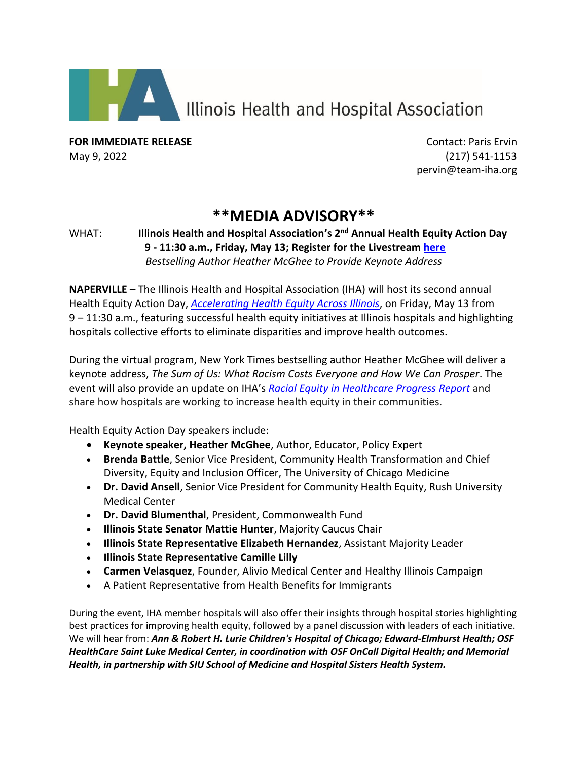

Illinois Health and Hospital Association

**FOR IMMEDIATE RELEASE CONTACT IN EXAMPLE ASSESSED ASSESSED AT A REPORT OF STATISTIC PARTICLE PARTICLE PARTICLE PARTICLE PARTICLE PARTICLE PARTICLE PARTICLE PARTICLE PARTICLE PARTICLE PARTICLE PARTICLE PARTICLE PARTICLE** May 9, 2022 (217) 541-1153

pervin@team-iha.org

## **\*\*MEDIA ADVISORY\*\***

## WHAT: **Illinois Health and Hospital Association's 2 nd Annual Health Equity Action Day 9 - 11:30 a.m., Friday, May 13; Register for the Livestream [here](https://web.cvent.com/event/2135af9d-953d-4b0b-bb38-ece49b6c0358/summary?RefId=13May22HEAD)** *Bestselling Author Heather McGhee to Provide Keynote Address*

**NAPERVILLE –** The Illinois Health and Hospital Association (IHA) will host its second annual Health Equity Action Day, *[Accelerating Health Equity Across Illinois](https://www.team-iha.org/quality-and-safety/iha-health-equity-action-day)*, on Friday, May 13 from 9 – 11:30 a.m., featuring successful health equity initiatives at Illinois hospitals and highlighting hospitals collective efforts to eliminate disparities and improve health outcomes.

During the virtual program, New York Times bestselling author Heather McGhee will deliver a keynote address, *The Sum of Us: What Racism Costs Everyone and How We Can Prosper*. The event will also provide an update on IHA's *Racial Equity in [Healthcare](https://www.alliance4ptsafety.org/getmedia/e9979cb2-ef90-400d-b437-434c063b2c5f/IHA-Guidance_Document-v5_1) Progress Report* and share how hospitals are working to increase health equity in their communities.

Health Equity Action Day speakers include:

- **Keynote speaker, Heather McGhee**, Author, Educator, Policy Expert
- **Brenda Battle**, Senior Vice President, Community Health Transformation and Chief Diversity, Equity and Inclusion Officer, The University of Chicago Medicine
- **Dr. David Ansell**, Senior Vice President for Community Health Equity, Rush University Medical Center
- **Dr. David Blumenthal**, President, Commonwealth Fund
- **Illinois State Senator Mattie Hunter**, Majority Caucus Chair
- **Illinois State Representative Elizabeth Hernandez**, Assistant Majority Leader
- **Illinois State Representative Camille Lilly**
- **Carmen Velasquez**, Founder, Alivio Medical Center and Healthy Illinois Campaign
- A Patient Representative from Health Benefits for Immigrants

During the event, IHA member hospitals will also offer their insights through hospital stories highlighting best practices for improving health equity, followed by a panel discussion with leaders of each initiative. We will hear from: *Ann & Robert H. Lurie Children's Hospital of Chicago; Edward-Elmhurst Health; OSF HealthCare Saint Luke Medical Center, in coordination with OSF OnCall Digital Health; and Memorial Health, in partnership with SIU School of Medicine and Hospital Sisters Health System.*